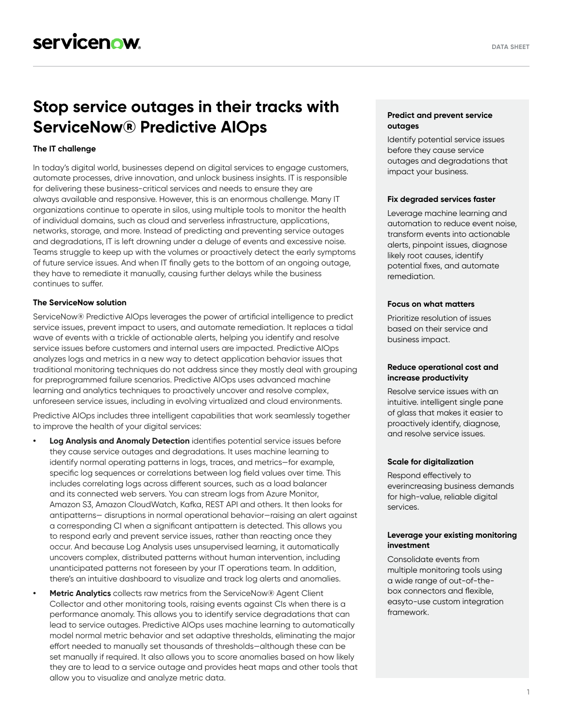# **Stop service outages in their tracks with ServiceNow® Predictive AIOps**

# **The IT challenge**

In today's digital world, businesses depend on digital services to engage customers, automate processes, drive innovation, and unlock business insights. IT is responsible for delivering these business-critical services and needs to ensure they are always available and responsive. However, this is an enormous challenge. Many IT organizations continue to operate in silos, using multiple tools to monitor the health of individual domains, such as cloud and serverless infrastructure, applications, networks, storage, and more. Instead of predicting and preventing service outages and degradations, IT is left drowning under a deluge of events and excessive noise. Teams struggle to keep up with the volumes or proactively detect the early symptoms of future service issues. And when IT finally gets to the bottom of an ongoing outage, they have to remediate it manually, causing further delays while the business continues to suffer.

#### **The ServiceNow solution**

ServiceNow® Predictive AIOps leverages the power of artificial intelligence to predict service issues, prevent impact to users, and automate remediation. It replaces a tidal wave of events with a trickle of actionable alerts, helping you identify and resolve service issues before customers and internal users are impacted. Predictive AIOps analyzes logs and metrics in a new way to detect application behavior issues that traditional monitoring techniques do not address since they mostly deal with grouping for preprogrammed failure scenarios. Predictive AIOps uses advanced machine learning and analytics techniques to proactively uncover and resolve complex, unforeseen service issues, including in evolving virtualized and cloud environments.

Predictive AIOps includes three intelligent capabilities that work seamlessly together to improve the health of your digital services:

- **• Log Analysis and Anomaly Detection** identifies potential service issues before they cause service outages and degradations. It uses machine learning to identify normal operating patterns in logs, traces, and metrics—for example, specific log sequences or correlations between log field values over time. This includes correlating logs across different sources, such as a load balancer and its connected web servers. You can stream logs from Azure Monitor, Amazon S3, Amazon CloudWatch, Kafka, REST API and others. It then looks for antipatterns— disruptions in normal operational behavior—raising an alert against a corresponding CI when a significant antipattern is detected. This allows you to respond early and prevent service issues, rather than reacting once they occur. And because Log Analysis uses unsupervised learning, it automatically uncovers complex, distributed patterns without human intervention, including unanticipated patterns not foreseen by your IT operations team. In addition, there's an intuitive dashboard to visualize and track log alerts and anomalies.
	- **• Metric Analytics** collects raw metrics from the ServiceNow® Agent Client Collector and other monitoring tools, raising events against CIs when there is a performance anomaly. This allows you to identify service degradations that can lead to service outages. Predictive AIOps uses machine learning to automatically model normal metric behavior and set adaptive thresholds, eliminating the major effort needed to manually set thousands of thresholds—although these can be set manually if required. It also allows you to score anomalies based on how likely they are to lead to a service outage and provides heat maps and other tools that allow you to visualize and analyze metric data.

# **Predict and prevent service outages**

Identify potential service issues before they cause service outages and degradations that impact your business.

#### **Fix degraded services faster**

Leverage machine learning and automation to reduce event noise, transform events into actionable alerts, pinpoint issues, diagnose likely root causes, identify potential fixes, and automate remediation.

# **Focus on what matters**

Prioritize resolution of issues based on their service and business impact.

#### **Reduce operational cost and increase productivity**

Resolve service issues with an intuitive. intelligent single pane of glass that makes it easier to proactively identify, diagnose, and resolve service issues.

#### **Scale for digitalization**

Respond effectively to everincreasing business demands for high-value, reliable digital services.

#### **Leverage your existing monitoring investment**

Consolidate events from multiple monitoring tools using a wide range of out-of-thebox connectors and flexible, easyto-use custom integration framework.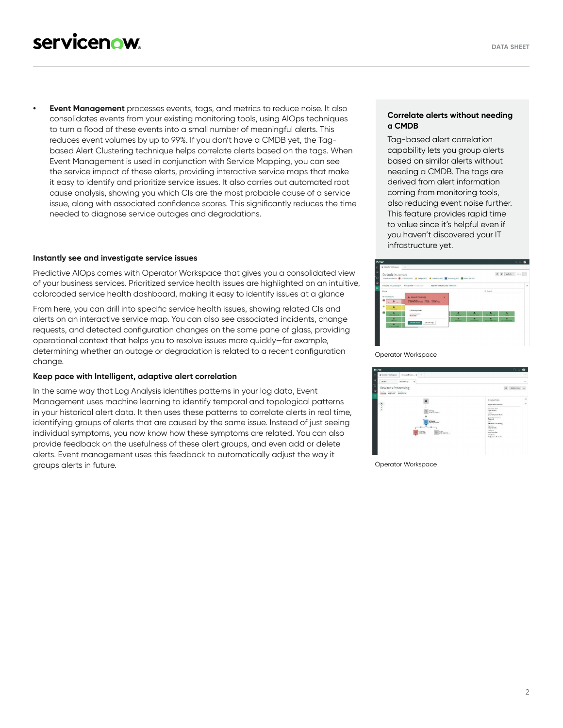**• Event Management** processes events, tags, and metrics to reduce noise. It also consolidates events from your existing monitoring tools, using AIOps techniques to turn a flood of these events into a small number of meaningful alerts. This reduces event volumes by up to 99%. If you don't have a CMDB yet, the Tagbased Alert Clustering technique helps correlate alerts based on the tags. When Event Management is used in conjunction with Service Mapping, you can see the service impact of these alerts, providing interactive service maps that make it easy to identify and prioritize service issues. It also carries out automated root cause analysis, showing you which CIs are the most probable cause of a service issue, along with associated confidence scores. This significantly reduces the time needed to diagnose service outages and degradations.

#### **Instantly see and investigate service issues**

Predictive AIOps comes with Operator Workspace that gives you a consolidated view of your business services. Prioritized service health issues are highlighted on an intuitive, colorcoded service health dashboard, making it easy to identify issues at a glance

From here, you can drill into specific service health issues, showing related CIs and alerts on an interactive service map. You can also see associated incidents, change requests, and detected configuration changes on the same pane of glass, providing operational context that helps you to resolve issues more quickly—for example, determining whether an outage or degradation is related to a recent configuration change.

# **Keep pace with Intelligent, adaptive alert correlation**

In the same way that Log Analysis identifies patterns in your log data, Event Management uses machine learning to identify temporal and topological patterns in your historical alert data. It then uses these patterns to correlate alerts in real time, identifying groups of alerts that are caused by the same issue. Instead of just seeing individual symptoms, you now know how these symptoms are related. You can also provide feedback on the usefulness of these alert groups, and even add or delete alerts. Event management uses this feedback to automatically adjust the way it groups alerts in future.

## **Correlate alerts without needing a CMDB**

Tag-based alert correlation capability lets you group alerts based on similar alerts without needing a CMDB. The tags are derived from alert information coming from monitoring tools, also reducing event noise further. This feature provides rapid time to value since it's helpful even if you haven't discovered your IT infrastructure yet.



| <b>now</b>                                 |                                                                                                                             | $\sim$ $\circ$ $\bullet$                                                                                                                                                                                                                                                                      |                     |
|--------------------------------------------|-----------------------------------------------------------------------------------------------------------------------------|-----------------------------------------------------------------------------------------------------------------------------------------------------------------------------------------------------------------------------------------------------------------------------------------------|---------------------|
| @ Coestor Nonsene                          | Repards Proces @<br>÷                                                                                                       |                                                                                                                                                                                                                                                                                               | ۰                   |
| Details.                                   | Service Vizor<br>ø                                                                                                          |                                                                                                                                                                                                                                                                                               | $\sim$              |
| Rewards Processing<br>book handley through |                                                                                                                             | ù<br>Hitting was                                                                                                                                                                                                                                                                              | $\sim$              |
| $\hat{\bullet}$                            | $\frac{\text{meas}(\mathbf{r})}{\text{meas}(\mathbf{r})}$<br>۰<br><b>2y Tomcat</b><br>hannonede 22<br>Page 150<br>@ Selmes. | Properties<br>Application Service<br><b>Constitute State</b><br>Operational<br>Centel<br>2010-04-25 07:45:00<br>Statistical demand<br>Esabled<br><b>TARW</b><br><b>Regards Processing</b><br>Darptity.<br>National NOC<br><b>CARGIN</b><br>term branker<br>Keny Business<br>NEp:0172.96.5.161 | $\circ$<br>$\equiv$ |

Operator Workspace